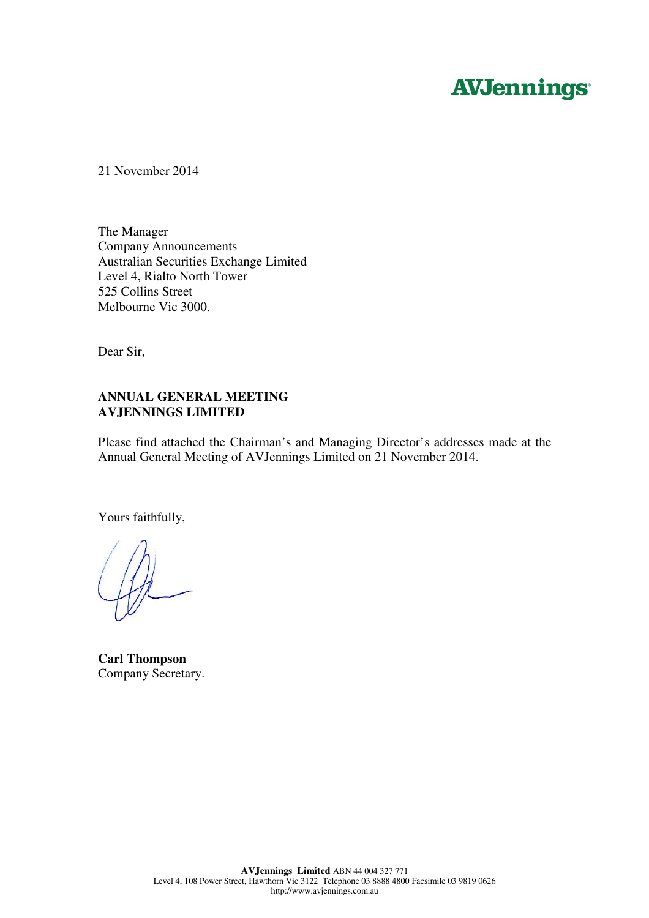# **AVJennings**

21 November 2014

The Manager Company Announcements Australian Securities Exchange Limited Level 4, Rialto North Tower 525 Collins Street Melbourne Vic 3000.

Dear Sir,

#### **ANNUAL GENERAL MEETING AVJENNINGS LIMITED**

Please find attached the Chairman's and Managing Director's addresses made at the Annual General Meeting of AVJennings Limited on 21 November 2014.

Yours faithfully,

**Carl Thompson**  Company Secretary.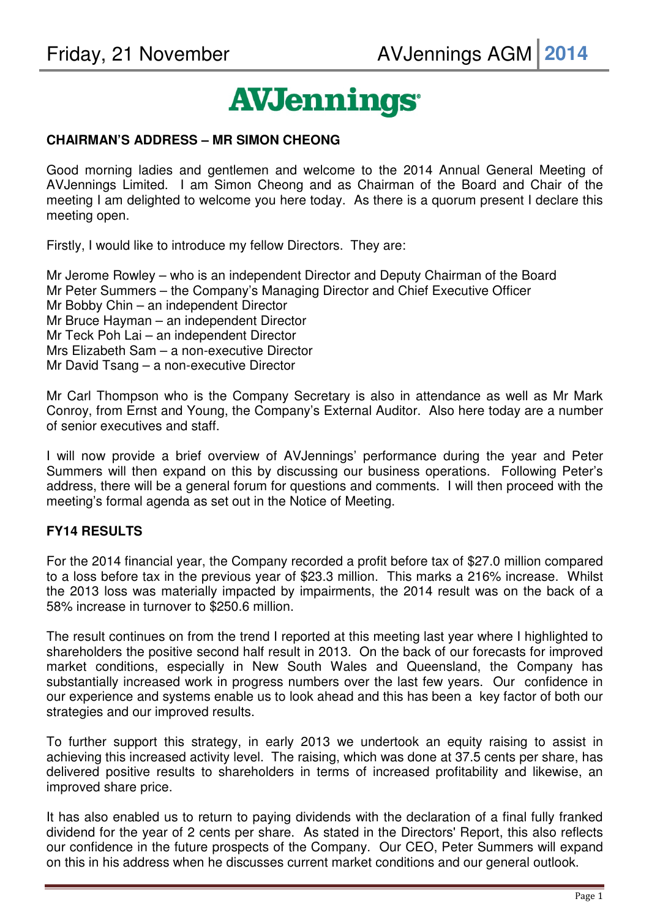# **AVJennings**

#### **CHAIRMAN'S ADDRESS – MR SIMON CHEONG**

Good morning ladies and gentlemen and welcome to the 2014 Annual General Meeting of AVJennings Limited. I am Simon Cheong and as Chairman of the Board and Chair of the meeting I am delighted to welcome you here today. As there is a quorum present I declare this meeting open.

Firstly, I would like to introduce my fellow Directors. They are:

Mr Jerome Rowley – who is an independent Director and Deputy Chairman of the Board Mr Peter Summers – the Company's Managing Director and Chief Executive Officer Mr Bobby Chin – an independent Director Mr Bruce Hayman – an independent Director Mr Teck Poh Lai – an independent Director Mrs Elizabeth Sam – a non-executive Director Mr David Tsang – a non-executive Director

Mr Carl Thompson who is the Company Secretary is also in attendance as well as Mr Mark Conroy, from Ernst and Young, the Company's External Auditor. Also here today are a number of senior executives and staff.

I will now provide a brief overview of AVJennings' performance during the year and Peter Summers will then expand on this by discussing our business operations. Following Peter's address, there will be a general forum for questions and comments. I will then proceed with the meeting's formal agenda as set out in the Notice of Meeting.

## **FY14 RESULTS**

For the 2014 financial year, the Company recorded a profit before tax of \$27.0 million compared to a loss before tax in the previous year of \$23.3 million. This marks a 216% increase. Whilst the 2013 loss was materially impacted by impairments, the 2014 result was on the back of a 58% increase in turnover to \$250.6 million.

The result continues on from the trend I reported at this meeting last year where I highlighted to shareholders the positive second half result in 2013. On the back of our forecasts for improved market conditions, especially in New South Wales and Queensland, the Company has substantially increased work in progress numbers over the last few years. Our confidence in our experience and systems enable us to look ahead and this has been a key factor of both our strategies and our improved results.

To further support this strategy, in early 2013 we undertook an equity raising to assist in achieving this increased activity level. The raising, which was done at 37.5 cents per share, has delivered positive results to shareholders in terms of increased profitability and likewise, an improved share price.

It has also enabled us to return to paying dividends with the declaration of a final fully franked dividend for the year of 2 cents per share. As stated in the Directors' Report, this also reflects our confidence in the future prospects of the Company. Our CEO, Peter Summers will expand on this in his address when he discusses current market conditions and our general outlook.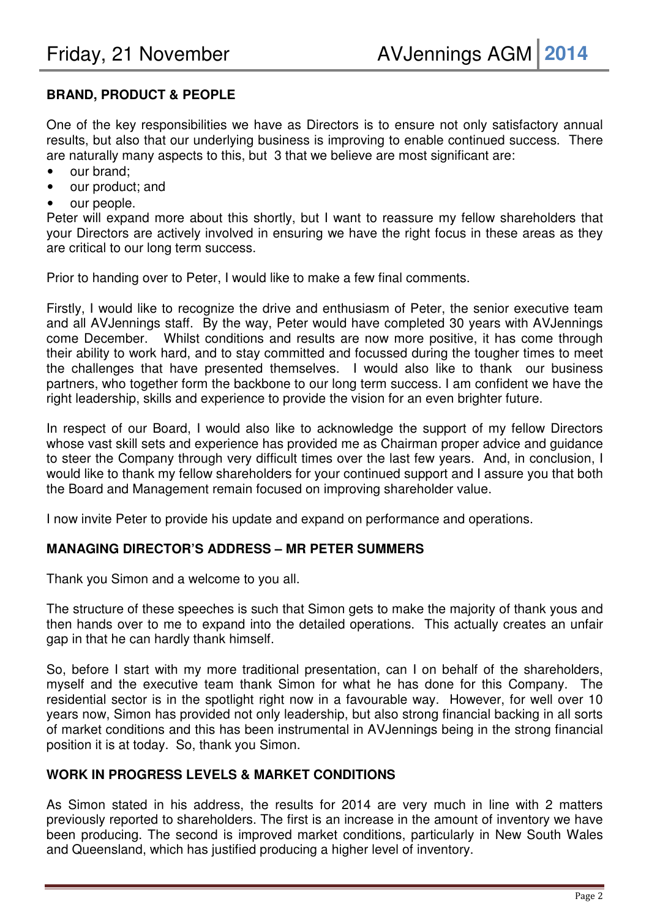# **BRAND, PRODUCT & PEOPLE**

One of the key responsibilities we have as Directors is to ensure not only satisfactory annual results, but also that our underlying business is improving to enable continued success. There are naturally many aspects to this, but 3 that we believe are most significant are:

- our brand:
- our product; and
- our people.

Peter will expand more about this shortly, but I want to reassure my fellow shareholders that your Directors are actively involved in ensuring we have the right focus in these areas as they are critical to our long term success.

Prior to handing over to Peter, I would like to make a few final comments.

Firstly, I would like to recognize the drive and enthusiasm of Peter, the senior executive team and all AVJennings staff. By the way, Peter would have completed 30 years with AVJennings come December. Whilst conditions and results are now more positive, it has come through their ability to work hard, and to stay committed and focussed during the tougher times to meet the challenges that have presented themselves. I would also like to thank our business partners, who together form the backbone to our long term success. I am confident we have the right leadership, skills and experience to provide the vision for an even brighter future.

In respect of our Board, I would also like to acknowledge the support of my fellow Directors whose vast skill sets and experience has provided me as Chairman proper advice and guidance to steer the Company through very difficult times over the last few years. And, in conclusion, I would like to thank my fellow shareholders for your continued support and I assure you that both the Board and Management remain focused on improving shareholder value.

I now invite Peter to provide his update and expand on performance and operations.

## **MANAGING DIRECTOR'S ADDRESS – MR PETER SUMMERS**

Thank you Simon and a welcome to you all.

The structure of these speeches is such that Simon gets to make the majority of thank yous and then hands over to me to expand into the detailed operations. This actually creates an unfair gap in that he can hardly thank himself.

So, before I start with my more traditional presentation, can I on behalf of the shareholders, myself and the executive team thank Simon for what he has done for this Company. The residential sector is in the spotlight right now in a favourable way. However, for well over 10 years now, Simon has provided not only leadership, but also strong financial backing in all sorts of market conditions and this has been instrumental in AVJennings being in the strong financial position it is at today. So, thank you Simon.

## **WORK IN PROGRESS LEVELS & MARKET CONDITIONS**

As Simon stated in his address, the results for 2014 are very much in line with 2 matters previously reported to shareholders. The first is an increase in the amount of inventory we have been producing. The second is improved market conditions, particularly in New South Wales and Queensland, which has justified producing a higher level of inventory.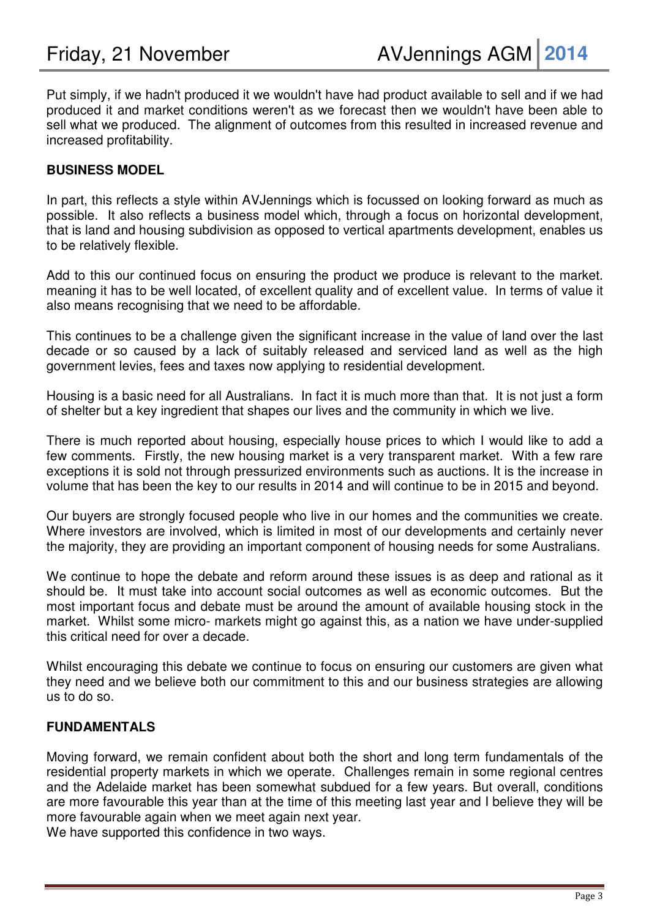Put simply, if we hadn't produced it we wouldn't have had product available to sell and if we had produced it and market conditions weren't as we forecast then we wouldn't have been able to sell what we produced. The alignment of outcomes from this resulted in increased revenue and increased profitability.

## **BUSINESS MODEL**

In part, this reflects a style within AVJennings which is focussed on looking forward as much as possible. It also reflects a business model which, through a focus on horizontal development, that is land and housing subdivision as opposed to vertical apartments development, enables us to be relatively flexible.

Add to this our continued focus on ensuring the product we produce is relevant to the market. meaning it has to be well located, of excellent quality and of excellent value. In terms of value it also means recognising that we need to be affordable.

This continues to be a challenge given the significant increase in the value of land over the last decade or so caused by a lack of suitably released and serviced land as well as the high government levies, fees and taxes now applying to residential development.

Housing is a basic need for all Australians. In fact it is much more than that. It is not just a form of shelter but a key ingredient that shapes our lives and the community in which we live.

There is much reported about housing, especially house prices to which I would like to add a few comments. Firstly, the new housing market is a very transparent market. With a few rare exceptions it is sold not through pressurized environments such as auctions. It is the increase in volume that has been the key to our results in 2014 and will continue to be in 2015 and beyond.

Our buyers are strongly focused people who live in our homes and the communities we create. Where investors are involved, which is limited in most of our developments and certainly never the majority, they are providing an important component of housing needs for some Australians.

We continue to hope the debate and reform around these issues is as deep and rational as it should be. It must take into account social outcomes as well as economic outcomes. But the most important focus and debate must be around the amount of available housing stock in the market. Whilst some micro- markets might go against this, as a nation we have under-supplied this critical need for over a decade.

Whilst encouraging this debate we continue to focus on ensuring our customers are given what they need and we believe both our commitment to this and our business strategies are allowing us to do so.

## **FUNDAMENTALS**

Moving forward, we remain confident about both the short and long term fundamentals of the residential property markets in which we operate. Challenges remain in some regional centres and the Adelaide market has been somewhat subdued for a few years. But overall, conditions are more favourable this year than at the time of this meeting last year and I believe they will be more favourable again when we meet again next year.

We have supported this confidence in two ways.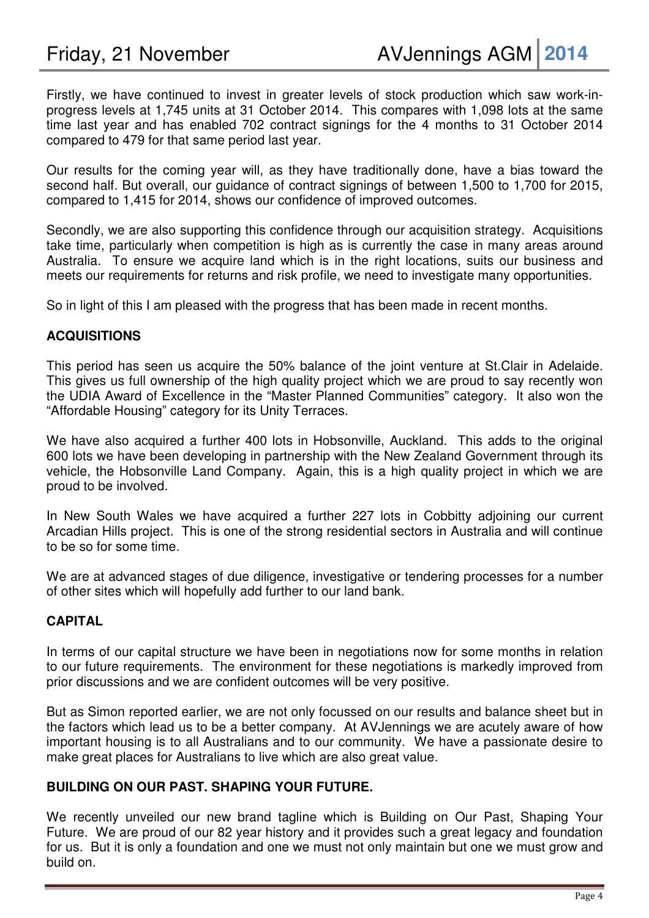Firstly, we have continued to invest in greater levels of stock production which saw work-inprogress levels at 1,745 units at 31 October 2014. This compares with 1,098 lots at the same time last year and has enabled 702 contract signings for the 4 months to 31 October 2014 compared to 479 for that same period last year.

Our results for the coming year will, as they have traditionally done, have a bias toward the second half. But overall, our guidance of contract signings of between 1,500 to 1,700 for 2015, compared to 1,415 for 2014, shows our confidence of improved outcomes.

Secondly, we are also supporting this confidence through our acquisition strategy. Acquisitions take time, particularly when competition is high as is currently the case in many areas around Australia. To ensure we acquire land which is in the right locations, suits our business and meets our requirements for returns and risk profile, we need to investigate many opportunities.

So in light of this I am pleased with the progress that has been made in recent months.

## **ACQUISITIONS**

This period has seen us acquire the 50% balance of the joint venture at St.Clair in Adelaide. This gives us full ownership of the high quality project which we are proud to say recently won the UDIA Award of Excellence in the "Master Planned Communities" category. It also won the "Affordable Housing" category for its Unity Terraces.

We have also acquired a further 400 lots in Hobsonville, Auckland. This adds to the original 600 lots we have been developing in partnership with the New Zealand Government through its vehicle, the Hobsonville Land Company. Again, this is a high quality project in which we are proud to be involved.

In New South Wales we have acquired a further 227 lots in Cobbitty adjoining our current Arcadian Hills project. This is one of the strong residential sectors in Australia and will continue to be so for some time.

We are at advanced stages of due diligence, investigative or tendering processes for a number of other sites which will hopefully add further to our land bank.

## **CAPITAL**

In terms of our capital structure we have been in negotiations now for some months in relation to our future requirements. The environment for these negotiations is markedly improved from prior discussions and we are confident outcomes will be very positive.

But as Simon reported earlier, we are not only focussed on our results and balance sheet but in the factors which lead us to be a better company. At AVJennings we are acutely aware of how important housing is to all Australians and to our community. We have a passionate desire to make great places for Australians to live which are also great value.

#### **BUILDING ON OUR PAST. SHAPING YOUR FUTURE.**

We recently unveiled our new brand tagline which is Building on Our Past, Shaping Your Future. We are proud of our 82 year history and it provides such a great legacy and foundation for us. But it is only a foundation and one we must not only maintain but one we must grow and build on.